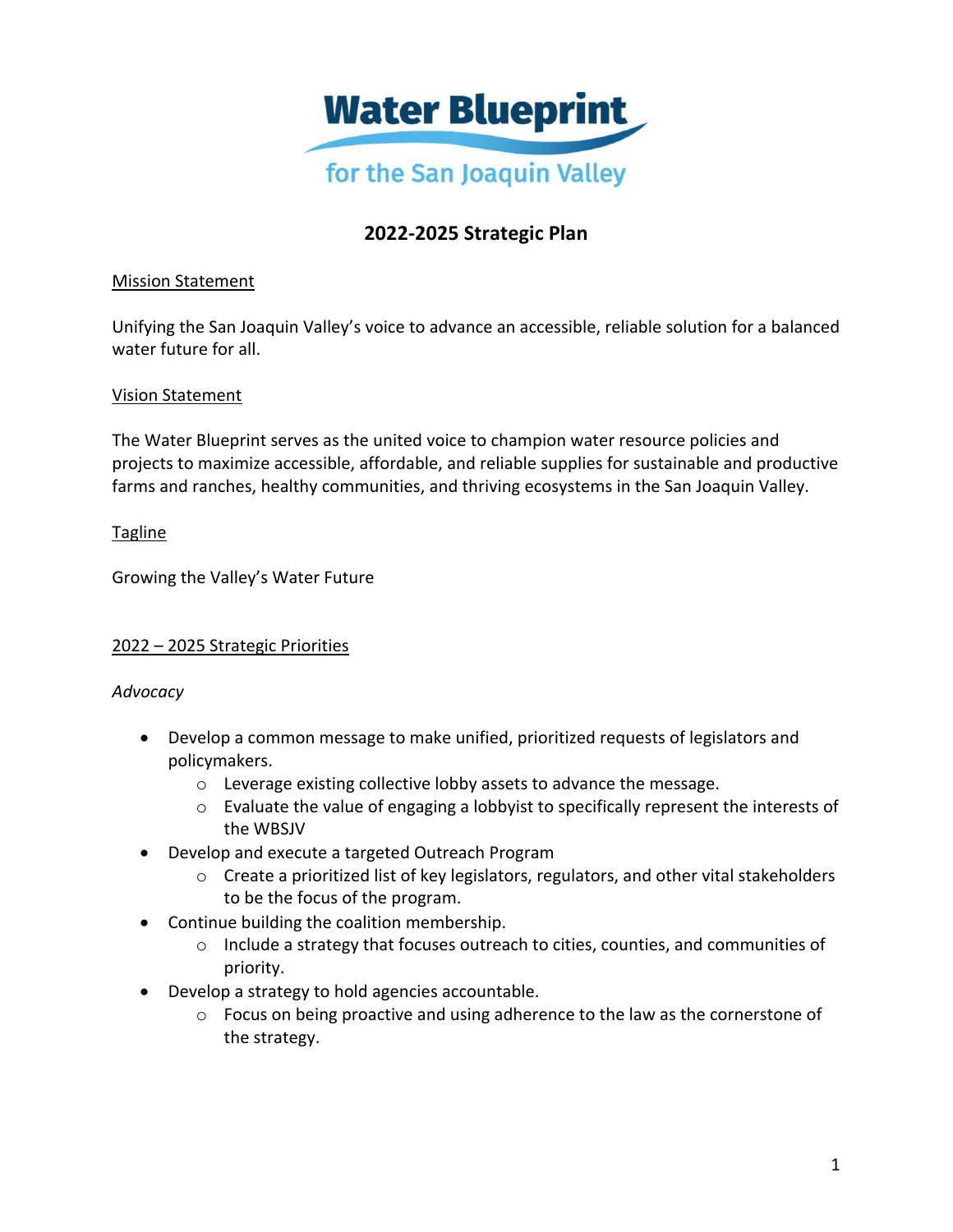

# **2022-2025 Strategic Plan**

### Mission Statement

Unifying the San Joaquin Valley's voice to advance an accessible, reliable solution for a balanced water future for all.

### Vision Statement

The Water Blueprint serves as the united voice to champion water resource policies and projects to maximize accessible, affordable, and reliable supplies for sustainable and productive farms and ranches, healthy communities, and thriving ecosystems in the San Joaquin Valley.

### Tagline

Growing the Valley's Water Future

### 2022 – 2025 Strategic Priorities

#### *Advocacy*

- Develop a common message to make unified, prioritized requests of legislators and policymakers.
	- o Leverage existing collective lobby assets to advance the message.
	- o Evaluate the value of engaging a lobbyist to specifically represent the interests of the WBSJV
- Develop and execute a targeted Outreach Program
	- o Create a prioritized list of key legislators, regulators, and other vital stakeholders to be the focus of the program.
- Continue building the coalition membership.
	- o Include a strategy that focuses outreach to cities, counties, and communities of priority.
- Develop a strategy to hold agencies accountable.
	- o Focus on being proactive and using adherence to the law as the cornerstone of the strategy.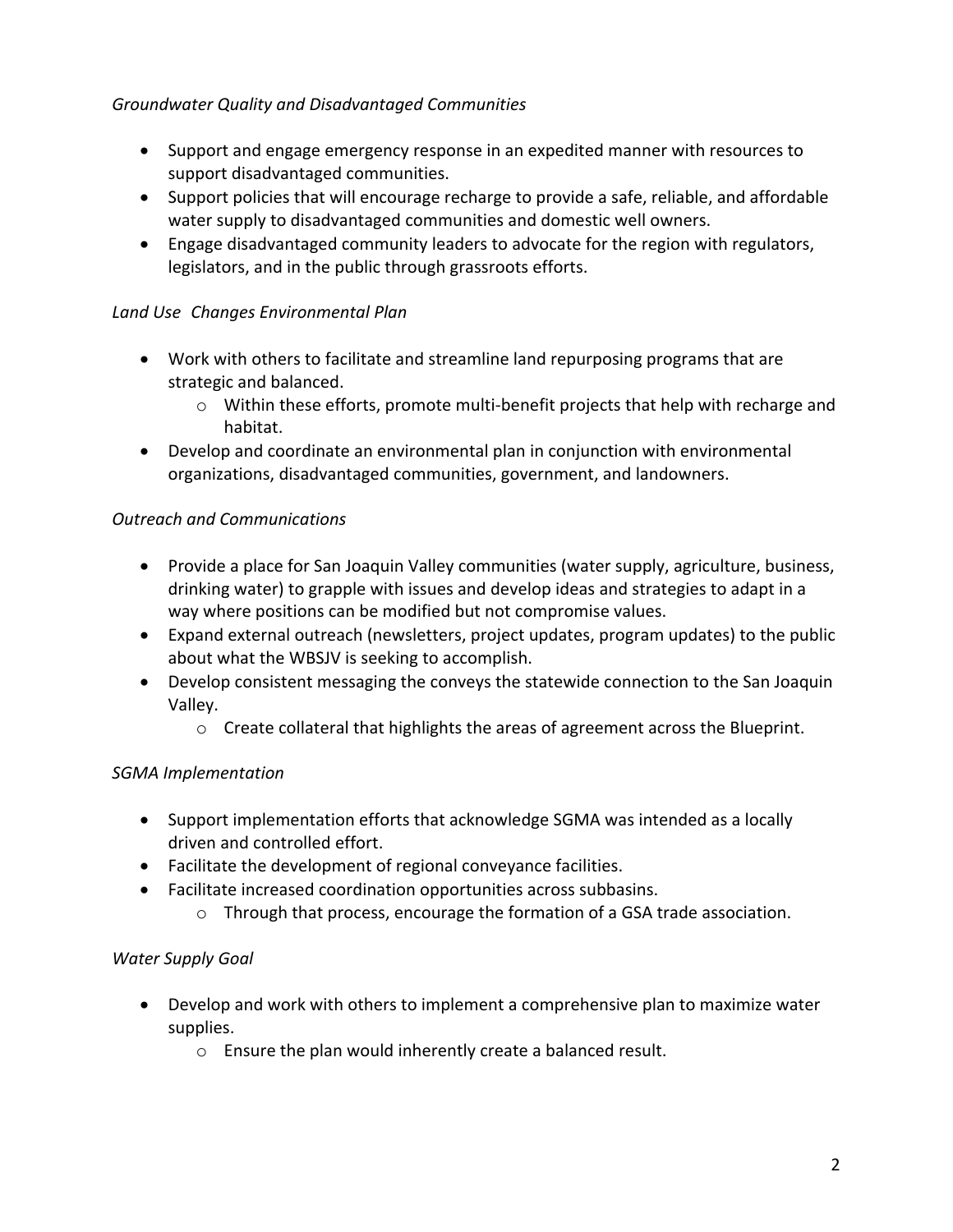### *Groundwater Quality and Disadvantaged Communities*

- Support and engage emergency response in an expedited manner with resources to support disadvantaged communities.
- Support policies that will encourage recharge to provide a safe, reliable, and affordable water supply to disadvantaged communities and domestic well owners.
- Engage disadvantaged community leaders to advocate for the region with regulators, legislators, and in the public through grassroots efforts.

### *Land Use Changes Environmental Plan*

- Work with others to facilitate and streamline land repurposing programs that are strategic and balanced.
	- $\circ$  Within these efforts, promote multi-benefit projects that help with recharge and habitat.
- Develop and coordinate an environmental plan in conjunction with environmental organizations, disadvantaged communities, government, and landowners.

### *Outreach and Communications*

- Provide a place for San Joaquin Valley communities (water supply, agriculture, business, drinking water) to grapple with issues and develop ideas and strategies to adapt in a way where positions can be modified but not compromise values.
- Expand external outreach (newsletters, project updates, program updates) to the public about what the WBSJV is seeking to accomplish.
- Develop consistent messaging the conveys the statewide connection to the San Joaquin Valley.
	- $\circ$  Create collateral that highlights the areas of agreement across the Blueprint.

# *SGMA Implementation*

- Support implementation efforts that acknowledge SGMA was intended as a locally driven and controlled effort.
- Facilitate the development of regional conveyance facilities.
- Facilitate increased coordination opportunities across subbasins.
	- $\circ$  Through that process, encourage the formation of a GSA trade association.

# *Water Supply Goal*

- Develop and work with others to implement a comprehensive plan to maximize water supplies.
	- o Ensure the plan would inherently create a balanced result.